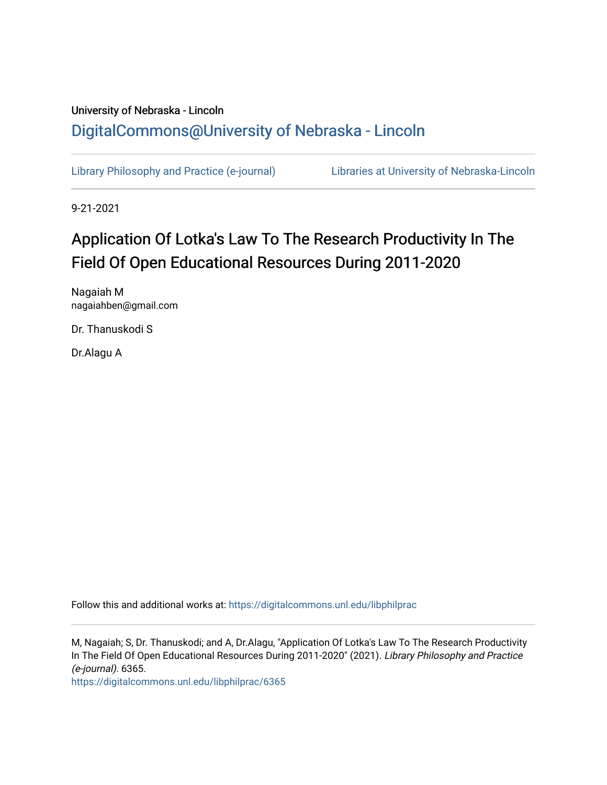## University of Nebraska - Lincoln [DigitalCommons@University of Nebraska - Lincoln](https://digitalcommons.unl.edu/)

[Library Philosophy and Practice \(e-journal\)](https://digitalcommons.unl.edu/libphilprac) [Libraries at University of Nebraska-Lincoln](https://digitalcommons.unl.edu/libraries) 

9-21-2021

# Application Of Lotka's Law To The Research Productivity In The Field Of Open Educational Resources During 2011-2020

Nagaiah M nagaiahben@gmail.com

Dr. Thanuskodi S

Dr.Alagu A

Follow this and additional works at: [https://digitalcommons.unl.edu/libphilprac](https://digitalcommons.unl.edu/libphilprac?utm_source=digitalcommons.unl.edu%2Flibphilprac%2F6365&utm_medium=PDF&utm_campaign=PDFCoverPages) 

M, Nagaiah; S, Dr. Thanuskodi; and A, Dr.Alagu, "Application Of Lotka's Law To The Research Productivity In The Field Of Open Educational Resources During 2011-2020" (2021). Library Philosophy and Practice (e-journal). 6365.

[https://digitalcommons.unl.edu/libphilprac/6365](https://digitalcommons.unl.edu/libphilprac/6365?utm_source=digitalcommons.unl.edu%2Flibphilprac%2F6365&utm_medium=PDF&utm_campaign=PDFCoverPages)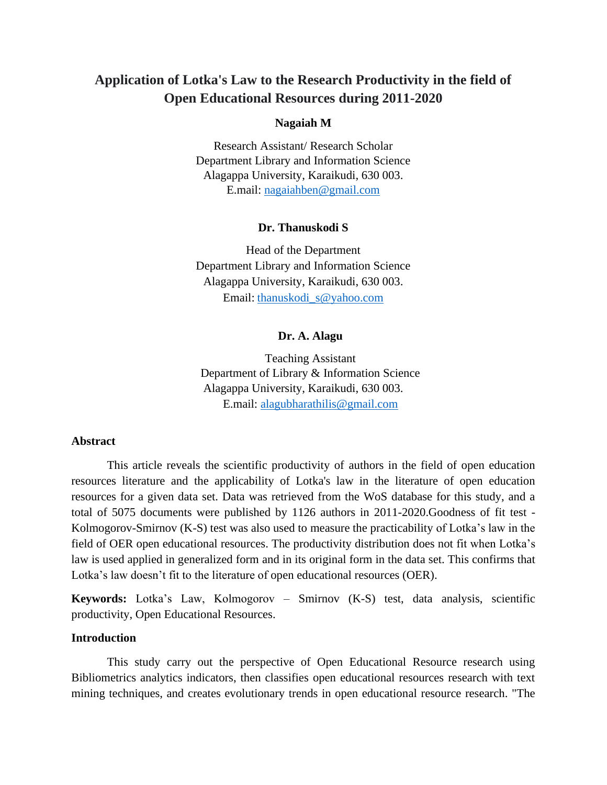### **Application of Lotka's Law to the Research Productivity in the field of Open Educational Resources during 2011-2020**

### **Nagaiah M**

Research Assistant/ Research Scholar Department Library and Information Science Alagappa University, Karaikudi, 630 003. E.mail: [nagaiahben@gmail.com](mailto:nagaiahben@gmail.com)

#### **Dr. Thanuskodi S**

Head of the Department Department Library and Information Science Alagappa University, Karaikudi, 630 003. Email: [thanuskodi\\_s@yahoo.com](mailto:thanuskodi_s@yahoo.com)

### **Dr. A. Alagu**

Teaching Assistant Department of Library & Information Science Alagappa University, Karaikudi, 630 003. E.mail: [alagubharathilis@gmail.com](mailto:alagubharathilis@gmail.com)

### **Abstract**

This article reveals the scientific productivity of authors in the field of open education resources literature and the applicability of Lotka's law in the literature of open education resources for a given data set. Data was retrieved from the WoS database for this study, and a total of 5075 documents were published by 1126 authors in 2011-2020.Goodness of fit test - Kolmogorov-Smirnov (K-S) test was also used to measure the practicability of Lotka's law in the field of OER open educational resources. The productivity distribution does not fit when Lotka's law is used applied in generalized form and in its original form in the data set. This confirms that Lotka's law doesn't fit to the literature of open educational resources (OER).

**Keywords:** Lotka's Law, Kolmogorov – Smirnov (K-S) test, data analysis, scientific productivity, Open Educational Resources.

#### **Introduction**

This study carry out the perspective of Open Educational Resource research using Bibliometrics analytics indicators, then classifies open educational resources research with text mining techniques, and creates evolutionary trends in open educational resource research. "The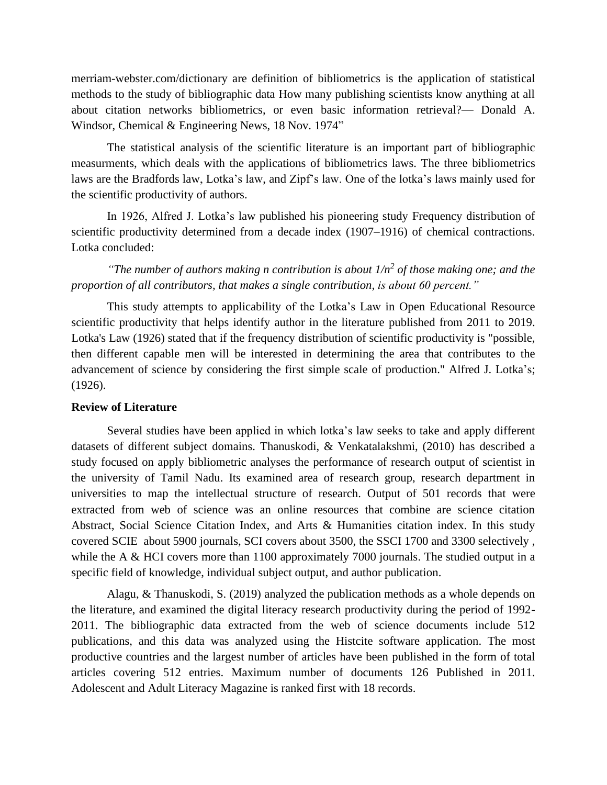merriam-webster.com/dictionary are definition of bibliometrics is the application of statistical methods to the study of bibliographic data How many publishing scientists know anything at all about citation networks bibliometrics, or even basic information retrieval?— Donald A. Windsor, Chemical & Engineering News, 18 Nov. 1974"

The statistical analysis of the scientific literature is an important part of bibliographic measurments, which deals with the applications of bibliometrics laws. The three bibliometrics laws are the Bradfords law, Lotka's law, and Zipf's law. One of the lotka's laws mainly used for the scientific productivity of authors.

In 1926, Alfred J. Lotka's law published his pioneering study Frequency distribution of scientific productivity determined from a decade index (1907–1916) of chemical contractions. Lotka concluded:

*"The number of authors making n contribution is about 1/n<sup>2</sup> of those making one; and the proportion of all contributors, that makes a single contribution, is about 60 percent."*

This study attempts to applicability of the Lotka's Law in Open Educational Resource scientific productivity that helps identify author in the literature published from 2011 to 2019. Lotka's Law (1926) stated that if the frequency distribution of scientific productivity is "possible, then different capable men will be interested in determining the area that contributes to the advancement of science by considering the first simple scale of production." Alfred J. Lotka's; (1926).

### **Review of Literature**

Several studies have been applied in which lotka's law seeks to take and apply different datasets of different subject domains. Thanuskodi, & Venkatalakshmi, (2010) has described a study focused on apply bibliometric analyses the performance of research output of scientist in the university of Tamil Nadu. Its examined area of research group, research department in universities to map the intellectual structure of research. Output of 501 records that were extracted from web of science was an online resources that combine are science citation Abstract, Social Science Citation Index, and Arts & Humanities citation index. In this study covered SCIE about 5900 journals, SCI covers about 3500, the SSCI 1700 and 3300 selectively , while the A & HCI covers more than 1100 approximately 7000 journals. The studied output in a specific field of knowledge, individual subject output, and author publication.

Alagu, & Thanuskodi, S. (2019) analyzed the publication methods as a whole depends on the literature, and examined the digital literacy research productivity during the period of 1992- 2011. The bibliographic data extracted from the web of science documents include 512 publications, and this data was analyzed using the Histcite software application. The most productive countries and the largest number of articles have been published in the form of total articles covering 512 entries. Maximum number of documents 126 Published in 2011. Adolescent and Adult Literacy Magazine is ranked first with 18 records.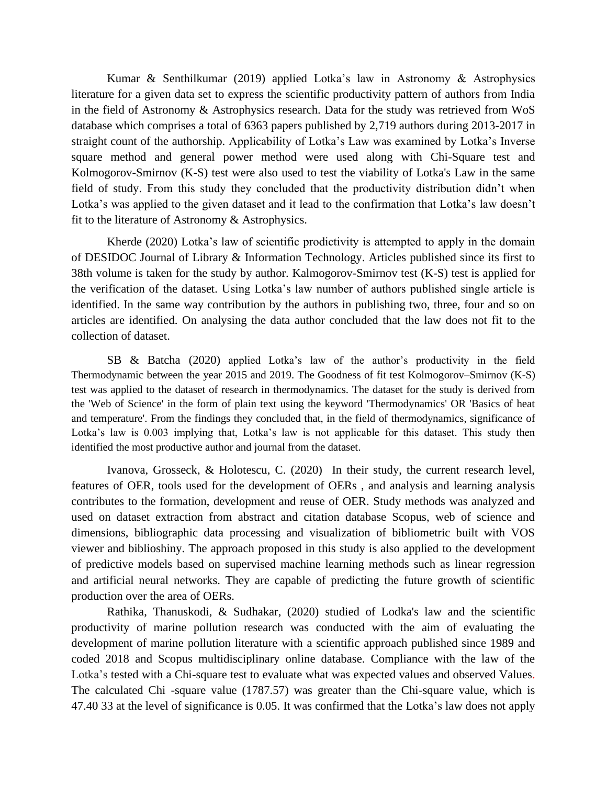Kumar & Senthilkumar (2019) applied Lotka's law in Astronomy & Astrophysics literature for a given data set to express the scientific productivity pattern of authors from India in the field of Astronomy & Astrophysics research. Data for the study was retrieved from WoS database which comprises a total of 6363 papers published by 2,719 authors during 2013-2017 in straight count of the authorship. Applicability of Lotka's Law was examined by Lotka's Inverse square method and general power method were used along with Chi-Square test and Kolmogorov-Smirnov (K-S) test were also used to test the viability of Lotka's Law in the same field of study. From this study they concluded that the productivity distribution didn't when Lotka's was applied to the given dataset and it lead to the confirmation that Lotka's law doesn't fit to the literature of Astronomy & Astrophysics.

Kherde (2020) Lotka's law of scientific prodictivity is attempted to apply in the domain of DESIDOC Journal of Library & Information Technology. Articles published since its first to 38th volume is taken for the study by author. Kalmogorov-Smirnov test (K-S) test is applied for the verification of the dataset. Using Lotka's law number of authors published single article is identified. In the same way contribution by the authors in publishing two, three, four and so on articles are identified. On analysing the data author concluded that the law does not fit to the collection of dataset.

SB & Batcha (2020) applied Lotka's law of the author's productivity in the field Thermodynamic between the year 2015 and 2019. The Goodness of fit test Kolmogorov–Smirnov (K-S) test was applied to the dataset of research in thermodynamics. The dataset for the study is derived from the 'Web of Science' in the form of plain text using the keyword 'Thermodynamics' OR 'Basics of heat and temperature'. From the findings they concluded that, in the field of thermodynamics, significance of Lotka's law is 0.003 implying that, Lotka's law is not applicable for this dataset. This study then identified the most productive author and journal from the dataset.

Ivanova, Grosseck, & Holotescu, C. (2020) In their study, the current research level, features of OER, tools used for the development of OERs , and analysis and learning analysis contributes to the formation, development and reuse of OER. Study methods was analyzed and used on dataset extraction from abstract and citation database Scopus, web of science and dimensions, bibliographic data processing and visualization of bibliometric built with VOS viewer and biblioshiny. The approach proposed in this study is also applied to the development of predictive models based on supervised machine learning methods such as linear regression and artificial neural networks. They are capable of predicting the future growth of scientific production over the area of OERs.

Rathika, Thanuskodi, & Sudhakar, (2020) studied of Lodka's law and the scientific productivity of marine pollution research was conducted with the aim of evaluating the development of marine pollution literature with a scientific approach published since 1989 and coded 2018 and Scopus multidisciplinary online database. Compliance with the law of the Lotka's tested with a Chi-square test to evaluate what was expected values and observed Values. The calculated Chi -square value (1787.57) was greater than the Chi-square value, which is 47.40 33 at the level of significance is 0.05. It was confirmed that the Lotka's law does not apply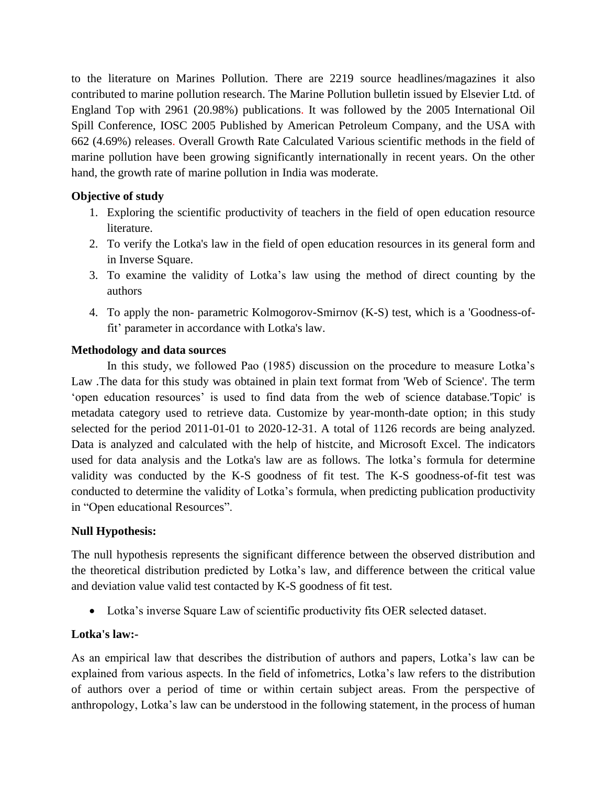to the literature on Marines Pollution. There are 2219 source headlines/magazines it also contributed to marine pollution research. The Marine Pollution bulletin issued by Elsevier Ltd. of England Top with 2961 (20.98%) publications. It was followed by the 2005 International Oil Spill Conference, IOSC 2005 Published by American Petroleum Company, and the USA with 662 (4.69%) releases. Overall Growth Rate Calculated Various scientific methods in the field of marine pollution have been growing significantly internationally in recent years. On the other hand, the growth rate of marine pollution in India was moderate.

### **Objective of study**

- 1. Exploring the scientific productivity of teachers in the field of open education resource literature.
- 2. To verify the Lotka's law in the field of open education resources in its general form and in Inverse Square.
- 3. To examine the validity of Lotka's law using the method of direct counting by the authors
- 4. To apply the non- parametric Kolmogorov-Smirnov (K-S) test, which is a 'Goodness-offit' parameter in accordance with Lotka's law.

### **Methodology and data sources**

In this study, we followed Pao (1985) discussion on the procedure to measure Lotka's Law .The data for this study was obtained in plain text format from 'Web of Science'. The term 'open education resources' is used to find data from the web of science database.'Topic' is metadata category used to retrieve data. Customize by year-month-date option; in this study selected for the period 2011-01-01 to 2020-12-31. A total of 1126 records are being analyzed. Data is analyzed and calculated with the help of histcite, and Microsoft Excel. The indicators used for data analysis and the Lotka's law are as follows. The lotka's formula for determine validity was conducted by the K-S goodness of fit test. The K-S goodness-of-fit test was conducted to determine the validity of Lotka's formula, when predicting publication productivity in "Open educational Resources".

### **Null Hypothesis:**

The null hypothesis represents the significant difference between the observed distribution and the theoretical distribution predicted by Lotka's law, and difference between the critical value and deviation value valid test contacted by K-S goodness of fit test.

• Lotka's inverse Square Law of scientific productivity fits OER selected dataset.

### **Lotka's law:-**

As an empirical law that describes the distribution of authors and papers, Lotka's law can be explained from various aspects. In the field of infometrics, Lotka's law refers to the distribution of authors over a period of time or within certain subject areas. From the perspective of anthropology, Lotka's law can be understood in the following statement, in the process of human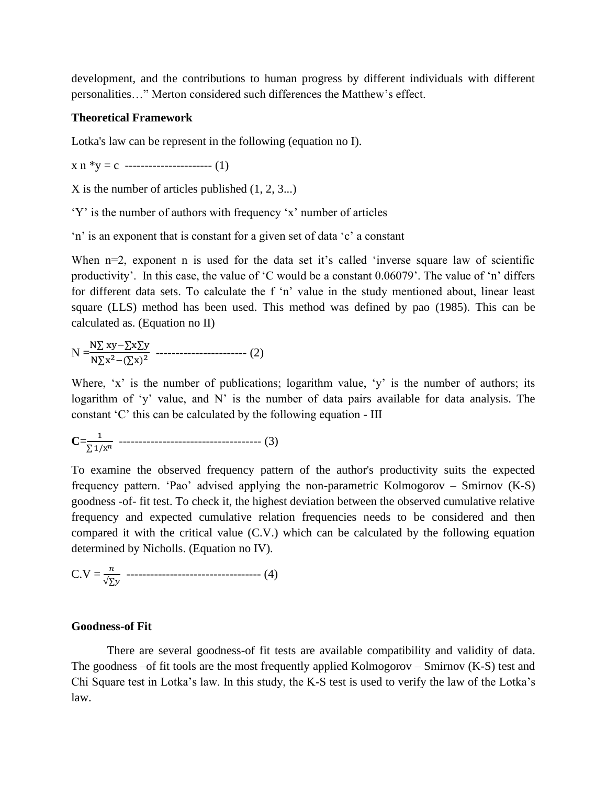development, and the contributions to human progress by different individuals with different personalities…" Merton considered such differences the Matthew's effect.

#### **Theoretical Framework**

Lotka's law can be represent in the following (equation no I).

 $x n *y = c$  ----------------------- (1)

X is the number of articles published (1, 2, 3...)

'Y' is the number of authors with frequency 'x' number of articles

'n' is an exponent that is constant for a given set of data 'c' a constant

When  $n=2$ , exponent n is used for the data set it's called 'inverse square law of scientific productivity'. In this case, the value of 'C would be a constant 0.06079'. The value of 'n' differs for different data sets. To calculate the f 'n' value in the study mentioned about, linear least square (LLS) method has been used. This method was defined by pao (1985). This can be calculated as. (Equation no II)

$$
N = \frac{N\sum xy - \sum x \sum y}{N\sum x^{2} - (\sum x)^{2}} \dots \dots \dots \dots \dots \dots \dots \dots \dots \dots \dots \dots \dots \tag{2}
$$

Where, 'x' is the number of publications; logarithm value, 'y' is the number of authors; its logarithm of 'y' value, and N' is the number of data pairs available for data analysis. The constant 'C' this can be calculated by the following equation - III

$$
C = \frac{1}{\sum 1/x^n} \quad \text{---} \quad \text{---} \quad (3)
$$

To examine the observed frequency pattern of the author's productivity suits the expected frequency pattern. 'Pao' advised applying the non-parametric Kolmogorov – Smirnov (K-S) goodness -of- fit test. To check it, the highest deviation between the observed cumulative relative frequency and expected cumulative relation frequencies needs to be considered and then compared it with the critical value (C.V.) which can be calculated by the following equation determined by Nicholls. (Equation no IV).

$$
C.V = \frac{n}{\sqrt{\sum y}} \quad \cdots \cdots \cdots \cdots \cdots \cdots \cdots \cdots \cdots \cdots \cdots \cdots \cdots (4)
$$

#### **Goodness-of Fit**

There are several goodness-of fit tests are available compatibility and validity of data. The goodness –of fit tools are the most frequently applied Kolmogorov – Smirnov (K-S) test and Chi Square test in Lotka's law. In this study, the K-S test is used to verify the law of the Lotka's law.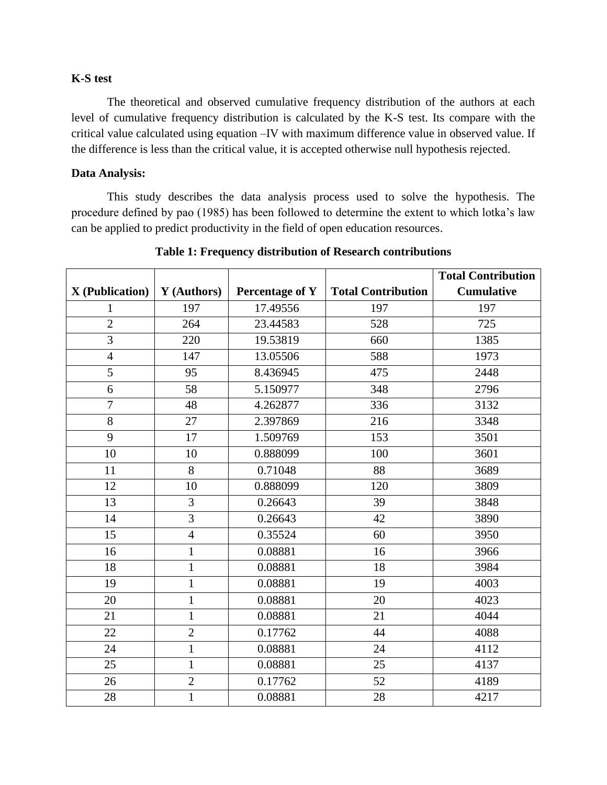### **K-S test**

The theoretical and observed cumulative frequency distribution of the authors at each level of cumulative frequency distribution is calculated by the K-S test. Its compare with the critical value calculated using equation –IV with maximum difference value in observed value. If the difference is less than the critical value, it is accepted otherwise null hypothesis rejected.

### **Data Analysis:**

This study describes the data analysis process used to solve the hypothesis. The procedure defined by pao (1985) has been followed to determine the extent to which lotka's law can be applied to predict productivity in the field of open education resources.

|                        |                |                 |                           | <b>Total Contribution</b> |
|------------------------|----------------|-----------------|---------------------------|---------------------------|
| <b>X</b> (Publication) | Y (Authors)    | Percentage of Y | <b>Total Contribution</b> | <b>Cumulative</b>         |
| 1                      | 197            | 17.49556        | 197                       | 197                       |
| $\overline{2}$         | 264            | 23.44583        | 528                       | 725                       |
| $\overline{3}$         | 220            | 19.53819        | 660                       | 1385                      |
| $\overline{4}$         | 147            | 13.05506        | 588                       | 1973                      |
| 5                      | 95             | 8.436945        | 475                       | 2448                      |
| 6                      | 58             | 5.150977        | 348                       | 2796                      |
| $\overline{7}$         | 48             | 4.262877        | 336                       | 3132                      |
| $8\,$                  | 27             | 2.397869        | 216                       | 3348                      |
| 9                      | 17             | 1.509769        | 153                       | 3501                      |
| 10                     | 10             | 0.888099        | 100                       | 3601                      |
| 11                     | 8              | 0.71048         | 88                        | 3689                      |
| 12                     | 10             | 0.888099        | 120                       | 3809                      |
| 13                     | 3              | 0.26643         | 39                        | 3848                      |
| 14                     | 3              | 0.26643         | 42                        | 3890                      |
| 15                     | $\overline{4}$ | 0.35524         | 60                        | 3950                      |
| 16                     | $\mathbf{1}$   | 0.08881         | 16                        | 3966                      |
| 18                     | $\mathbf{1}$   | 0.08881         | 18                        | 3984                      |
| 19                     | $\mathbf{1}$   | 0.08881         | 19                        | 4003                      |
| 20                     | $\mathbf{1}$   | 0.08881         | 20                        | 4023                      |
| 21                     | $\mathbf{1}$   | 0.08881         | 21                        | 4044                      |
| 22                     | $\overline{2}$ | 0.17762         | 44                        | 4088                      |
| 24                     | $\mathbf{1}$   | 0.08881         | 24                        | 4112                      |
| 25                     | $\mathbf{1}$   | 0.08881         | 25                        | 4137                      |
| 26                     | $\overline{2}$ | 0.17762         | 52                        | 4189                      |
| 28                     | $\mathbf{1}$   | 0.08881         | 28                        | 4217                      |

**Table 1: Frequency distribution of Research contributions**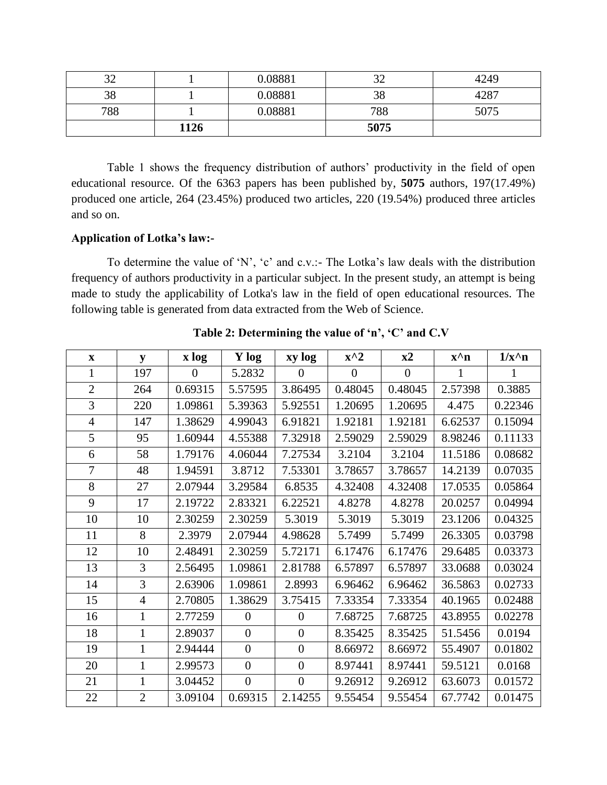| ົ<br>ے ر |      | 0.08881 |      | 4249 |
|----------|------|---------|------|------|
| 38       |      | 0.08881 | 38   | 4287 |
| 788      |      | 0.08881 | 788  | 5075 |
|          | 1126 |         | 5075 |      |

Table 1 shows the frequency distribution of authors' productivity in the field of open educational resource. Of the 6363 papers has been published by, **5075** authors, 197(17.49%) produced one article, 264 (23.45%) produced two articles, 220 (19.54%) produced three articles and so on.

### **Application of Lotka's law:-**

To determine the value of 'N', 'c' and c.v.:- The Lotka's law deals with the distribution frequency of authors productivity in a particular subject. In the present study, an attempt is being made to study the applicability of Lotka's law in the field of open educational resources. The following table is generated from data extracted from the Web of Science.

| $\mathbf{X}$   | y              | x log          | Y log            | xy log         | $x^2$    | x2       | $\mathbf{x}^{\wedge} \mathbf{n}$ | $1/x^n$ n |
|----------------|----------------|----------------|------------------|----------------|----------|----------|----------------------------------|-----------|
| 1              | 197            | $\overline{0}$ | 5.2832           | 0              | $\theta$ | $\theta$ | 1                                |           |
| $\overline{2}$ | 264            | 0.69315        | 5.57595          | 3.86495        | 0.48045  | 0.48045  | 2.57398                          | 0.3885    |
| 3              | 220            | 1.09861        | 5.39363          | 5.92551        | 1.20695  | 1.20695  | 4.475                            | 0.22346   |
| $\overline{4}$ | 147            | 1.38629        | 4.99043          | 6.91821        | 1.92181  | 1.92181  | 6.62537                          | 0.15094   |
| 5              | 95             | 1.60944        | 4.55388          | 7.32918        | 2.59029  | 2.59029  | 8.98246                          | 0.11133   |
| 6              | 58             | 1.79176        | 4.06044          | 7.27534        | 3.2104   | 3.2104   | 11.5186                          | 0.08682   |
| $\overline{7}$ | 48             | 1.94591        | 3.8712           | 7.53301        | 3.78657  | 3.78657  | 14.2139                          | 0.07035   |
| 8              | 27             | 2.07944        | 3.29584          | 6.8535         | 4.32408  | 4.32408  | 17.0535                          | 0.05864   |
| 9              | 17             | 2.19722        | 2.83321          | 6.22521        | 4.8278   | 4.8278   | 20.0257                          | 0.04994   |
| 10             | 10             | 2.30259        | 2.30259          | 5.3019         | 5.3019   | 5.3019   | 23.1206                          | 0.04325   |
| 11             | 8              | 2.3979         | 2.07944          | 4.98628        | 5.7499   | 5.7499   | 26.3305                          | 0.03798   |
| 12             | 10             | 2.48491        | 2.30259          | 5.72171        | 6.17476  | 6.17476  | 29.6485                          | 0.03373   |
| 13             | 3              | 2.56495        | 1.09861          | 2.81788        | 6.57897  | 6.57897  | 33.0688                          | 0.03024   |
| 14             | 3              | 2.63906        | 1.09861          | 2.8993         | 6.96462  | 6.96462  | 36.5863                          | 0.02733   |
| 15             | $\overline{4}$ | 2.70805        | 1.38629          | 3.75415        | 7.33354  | 7.33354  | 40.1965                          | 0.02488   |
| 16             | $\mathbf{1}$   | 2.77259        | $\overline{0}$   | $\overline{0}$ | 7.68725  | 7.68725  | 43.8955                          | 0.02278   |
| 18             | $\mathbf{1}$   | 2.89037        | $\overline{0}$   | $\overline{0}$ | 8.35425  | 8.35425  | 51.5456                          | 0.0194    |
| 19             | $\mathbf{1}$   | 2.94444        | $\overline{0}$   | $\overline{0}$ | 8.66972  | 8.66972  | 55.4907                          | 0.01802   |
| 20             | 1              | 2.99573        | $\overline{0}$   | $\overline{0}$ | 8.97441  | 8.97441  | 59.5121                          | 0.0168    |
| 21             | $\mathbf{1}$   | 3.04452        | $\boldsymbol{0}$ | $\overline{0}$ | 9.26912  | 9.26912  | 63.6073                          | 0.01572   |
| 22             | $\overline{2}$ | 3.09104        | 0.69315          | 2.14255        | 9.55454  | 9.55454  | 67.7742                          | 0.01475   |

**Table 2: Determining the value of 'n', 'C' and C.V**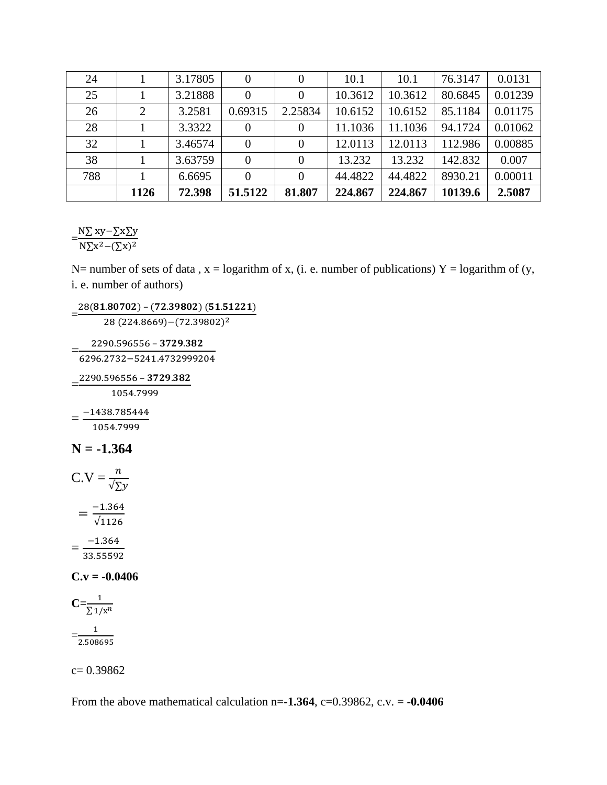| 24  |                | 3.17805 | $\theta$ |          | 10.1    | 10.1    | 76.3147 | 0.0131  |
|-----|----------------|---------|----------|----------|---------|---------|---------|---------|
| 25  |                | 3.21888 | 0        |          | 10.3612 | 10.3612 | 80.6845 | 0.01239 |
| 26  | $\overline{2}$ | 3.2581  | 0.69315  | 2.25834  | 10.6152 | 10.6152 | 85.1184 | 0.01175 |
| 28  |                | 3.3322  | $\theta$ |          | 11.1036 | 11.1036 | 94.1724 | 0.01062 |
| 32  |                | 3.46574 | $\theta$ | $\Omega$ | 12.0113 | 12.0113 | 112.986 | 0.00885 |
| 38  |                | 3.63759 | $\theta$ | $\Omega$ | 13.232  | 13.232  | 142.832 | 0.007   |
| 788 |                | 6.6695  | $\Omega$ | $\Omega$ | 44.4822 | 44.4822 | 8930.21 | 0.00011 |
|     | 1126           | 72.398  | 51.5122  | 81.807   | 224.867 | 224.867 | 10139.6 | 2.5087  |

 $=\frac{N\Sigma xy-\Sigma x\Sigma y}{N\Sigma^2}$  $N\Sigma x^2 - (\Sigma x)^2$ 

N= number of sets of data,  $x =$  logarithm of x, (i. e. number of publications) Y = logarithm of (y, i. e. number of authors)

 $=\frac{28(81.80702)-(72.39802)(51.51221)}{28(284.8668)\cdot (78.38833)^2}$ 

28 (224.8669)−(72.39802) 2

 $2290.596556 - 3729.382$ 

=<u>2290.596556 - 3729.362</u><br>6296.2732−5241.4732999204

 $=\frac{2290.596556 - 3729.382}{1054,7000}$ 

1054.7999

 $=\frac{-1438.785444}{1054,7000}$ 1054.7999

### **N = -1.364**

C.V = 
$$
\frac{n}{\sqrt{2}y}
$$
  
=  $\frac{-1.364}{\sqrt{1126}}$   
=  $\frac{-1.364}{33.55592}$ 

**C.v = -0.0406**

$$
C=\frac{1}{\sum 1/x^n}
$$

$$
=\frac{1}{2.508695}
$$

c= 0.39862

From the above mathematical calculation  $n=$ **1.364**,  $c=0.39862$ ,  $c.v. =$  **-0.0406**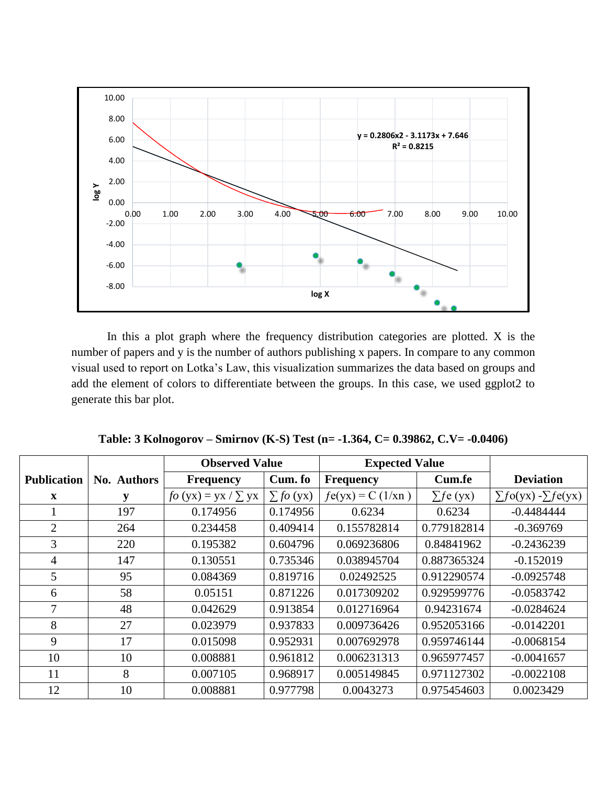

In this a plot graph where the frequency distribution categories are plotted. X is the number of papers and y is the number of authors publishing x papers. In compare to any common visual used to report on Lotka's Law, this visualization summarizes the data based on groups and add the element of colors to differentiate between the groups. In this case, we used ggplot2 to generate this bar plot.

|                    |             | <b>Observed Value</b>        |                     | <b>Expected Value</b> |                |                                    |
|--------------------|-------------|------------------------------|---------------------|-----------------------|----------------|------------------------------------|
| <b>Publication</b> | No. Authors | <b>Frequency</b>             | Cum. fo             | <b>Frequency</b>      | Cum.fe         | <b>Deviation</b>                   |
| $\mathbf{X}$       | y           | $f\circ (yx) = yx / \sum yx$ | $\sum f \circ (yx)$ | $f_{e(yx)} = C(1/xn)$ | $\sum f e(yx)$ | $\sum f \circ (yx) - \sum f e(yx)$ |
|                    | 197         | 0.174956                     | 0.174956            | 0.6234                | 0.6234         | $-0.4484444$                       |
| $\overline{2}$     | 264         | 0.234458                     | 0.409414            | 0.155782814           | 0.779182814    | $-0.369769$                        |
| 3                  | 220         | 0.195382                     | 0.604796            | 0.069236806           | 0.84841962     | $-0.2436239$                       |
| 4                  | 147         | 0.130551                     | 0.735346            | 0.038945704           | 0.887365324    | $-0.152019$                        |
| 5                  | 95          | 0.084369                     | 0.819716            | 0.02492525            | 0.912290574    | $-0.0925748$                       |
| 6                  | 58          | 0.05151                      | 0.871226            | 0.017309202           | 0.929599776    | $-0.0583742$                       |
| 7                  | 48          | 0.042629                     | 0.913854            | 0.012716964           | 0.94231674     | $-0.0284624$                       |
| 8                  | 27          | 0.023979                     | 0.937833            | 0.009736426           | 0.952053166    | $-0.0142201$                       |
| 9                  | 17          | 0.015098                     | 0.952931            | 0.007692978           | 0.959746144    | $-0.0068154$                       |
| 10                 | 10          | 0.008881                     | 0.961812            | 0.006231313           | 0.965977457    | $-0.0041657$                       |
| 11                 | 8           | 0.007105                     | 0.968917            | 0.005149845           | 0.971127302    | $-0.0022108$                       |
| 12                 | 10          | 0.008881                     | 0.977798            | 0.0043273             | 0.975454603    | 0.0023429                          |

**Table: 3 Kolnogorov – Smirnov (K-S) Test (n= -1.364, C= 0.39862, C.V= -0.0406)**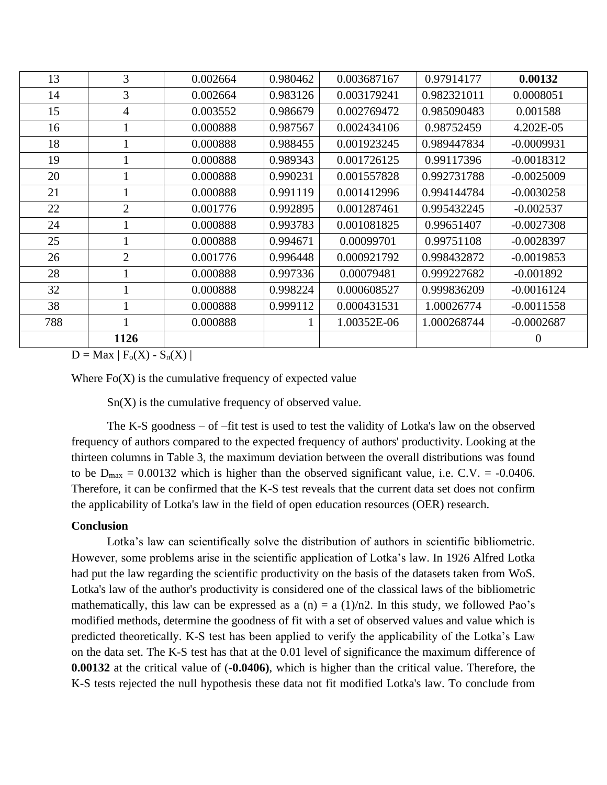| 13  | $\overline{3}$ | 0.002664 | 0.980462 | 0.003687167 | 0.97914177  | 0.00132        |
|-----|----------------|----------|----------|-------------|-------------|----------------|
| 14  | 3              | 0.002664 | 0.983126 | 0.003179241 | 0.982321011 | 0.0008051      |
| 15  | $\overline{4}$ | 0.003552 | 0.986679 | 0.002769472 | 0.985090483 | 0.001588       |
| 16  |                | 0.000888 | 0.987567 | 0.002434106 | 0.98752459  | 4.202E-05      |
| 18  | T              | 0.000888 | 0.988455 | 0.001923245 | 0.989447834 | $-0.0009931$   |
| 19  |                | 0.000888 | 0.989343 | 0.001726125 | 0.99117396  | $-0.0018312$   |
| 20  | $\mathbf{1}$   | 0.000888 | 0.990231 | 0.001557828 | 0.992731788 | $-0.0025009$   |
| 21  | 1              | 0.000888 | 0.991119 | 0.001412996 | 0.994144784 | $-0.0030258$   |
| 22  | $\overline{2}$ | 0.001776 | 0.992895 | 0.001287461 | 0.995432245 | $-0.002537$    |
| 24  |                | 0.000888 | 0.993783 | 0.001081825 | 0.99651407  | $-0.0027308$   |
| 25  | 1              | 0.000888 | 0.994671 | 0.00099701  | 0.99751108  | $-0.0028397$   |
| 26  | $\overline{2}$ | 0.001776 | 0.996448 | 0.000921792 | 0.998432872 | $-0.0019853$   |
| 28  | $\mathbf{1}$   | 0.000888 | 0.997336 | 0.00079481  | 0.999227682 | $-0.001892$    |
| 32  |                | 0.000888 | 0.998224 | 0.000608527 | 0.999836209 | $-0.0016124$   |
| 38  |                | 0.000888 | 0.999112 | 0.000431531 | 1.00026774  | $-0.0011558$   |
| 788 | $\mathbf{1}$   | 0.000888 | 1        | 1.00352E-06 | 1.000268744 | $-0.0002687$   |
|     | 1126           |          |          |             |             | $\overline{0}$ |

 $D = Max | F_0(X) - S_n(X) |$ 

Where  $Fo(X)$  is the cumulative frequency of expected value

 $Sn(X)$  is the cumulative frequency of observed value.

The K-S goodness – of –fit test is used to test the validity of Lotka's law on the observed frequency of authors compared to the expected frequency of authors' productivity. Looking at the thirteen columns in Table 3, the maximum deviation between the overall distributions was found to be  $D_{\text{max}} = 0.00132$  which is higher than the observed significant value, i.e. C.V. = -0.0406. Therefore, it can be confirmed that the K-S test reveals that the current data set does not confirm the applicability of Lotka's law in the field of open education resources (OER) research.

#### **Conclusion**

Lotka's law can scientifically solve the distribution of authors in scientific bibliometric. However, some problems arise in the scientific application of Lotka's law. In 1926 Alfred Lotka had put the law regarding the scientific productivity on the basis of the datasets taken from WoS. Lotka's law of the author's productivity is considered one of the classical laws of the bibliometric mathematically, this law can be expressed as a  $(n) = a (1)/n2$ . In this study, we followed Pao's modified methods, determine the goodness of fit with a set of observed values and value which is predicted theoretically. K-S test has been applied to verify the applicability of the Lotka's Law on the data set. The K-S test has that at the 0.01 level of significance the maximum difference of **0.00132** at the critical value of (**-0.0406)**, which is higher than the critical value. Therefore, the K-S tests rejected the null hypothesis these data not fit modified Lotka's law. To conclude from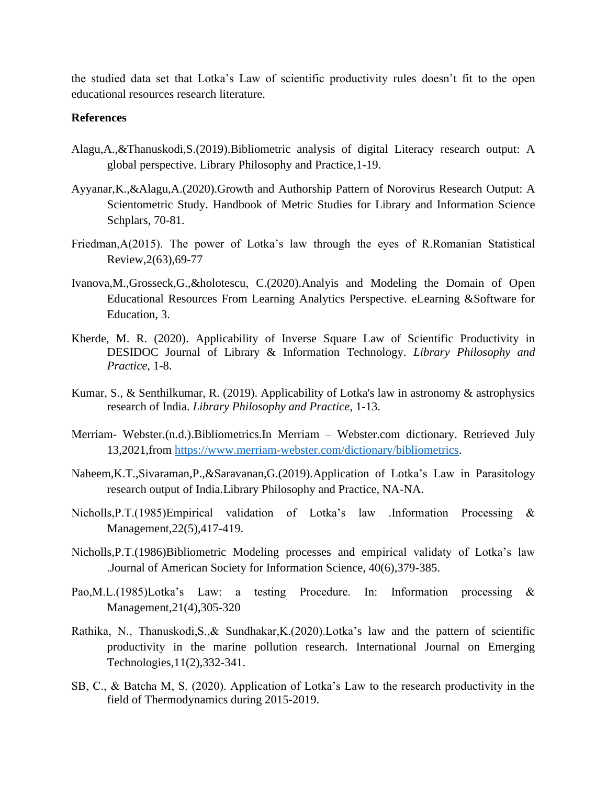the studied data set that Lotka's Law of scientific productivity rules doesn't fit to the open educational resources research literature.

#### **References**

- Alagu,A.,&Thanuskodi,S.(2019).Bibliometric analysis of digital Literacy research output: A global perspective. Library Philosophy and Practice,1-19.
- Ayyanar,K.,&Alagu,A.(2020).Growth and Authorship Pattern of Norovirus Research Output: A Scientometric Study. Handbook of Metric Studies for Library and Information Science Schplars, 70-81.
- Friedman,A(2015). The power of Lotka's law through the eyes of R.Romanian Statistical Review,2(63),69-77
- Ivanova,M.,Grosseck,G.,&holotescu, C.(2020).Analyis and Modeling the Domain of Open Educational Resources From Learning Analytics Perspective. eLearning &Software for Education, 3.
- Kherde, M. R. (2020). Applicability of Inverse Square Law of Scientific Productivity in DESIDOC Journal of Library & Information Technology. *Library Philosophy and Practice*, 1-8.
- Kumar, S., & Senthilkumar, R. (2019). Applicability of Lotka's law in astronomy & astrophysics research of India. *Library Philosophy and Practice*, 1-13.
- Merriam- Webster.(n.d.).Bibliometrics.In Merriam Webster.com dictionary. Retrieved July 13,2021,from [https://www.merriam-webster.com/dictionary/bibliometrics.](https://www.merriam-webster.com/dictionary/bibliometrics)
- Naheem,K.T.,Sivaraman,P.,&Saravanan,G.(2019).Application of Lotka's Law in Parasitology research output of India.Library Philosophy and Practice, NA-NA.
- Nicholls,P.T.(1985)Empirical validation of Lotka's law .Information Processing & Management,22(5),417-419.
- Nicholls,P.T.(1986)Bibliometric Modeling processes and empirical validaty of Lotka's law .Journal of American Society for Information Science, 40(6),379-385.
- Pao,M.L.(1985)Lotka's Law: a testing Procedure. In: Information processing & Management,21(4),305-320
- Rathika, N., Thanuskodi,S.,& Sundhakar,K.(2020).Lotka's law and the pattern of scientific productivity in the marine pollution research. International Journal on Emerging Technologies,11(2),332-341.
- SB, C., & Batcha M, S. (2020). Application of Lotka's Law to the research productivity in the field of Thermodynamics during 2015-2019.